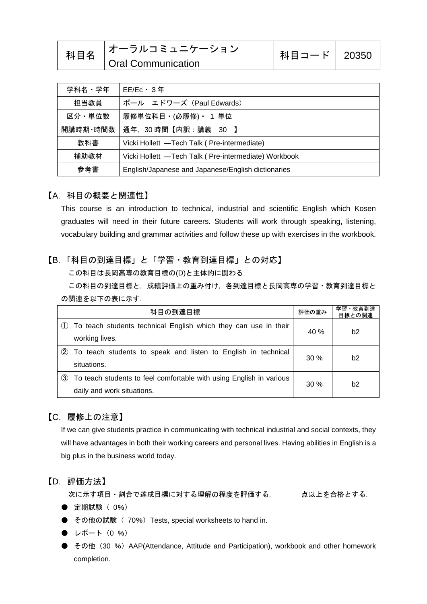| 科目名 | <b> オーラルコミュニケーション</b>     | 科目コード   20350 |  |
|-----|---------------------------|---------------|--|
|     | <b>Oral Communication</b> |               |  |

| 学科名・学年   | $EE/EC \cdot 3$ 年                                    |  |
|----------|------------------------------------------------------|--|
| 担当教員     | ポール エドワーズ (Paul Edwards)                             |  |
| 区分・単位数   | 履修単位科目 (必履修) ・ 1 単位                                  |  |
| 開講時期・時間数 | 通年, 30時間【内訳:講義 30 】                                  |  |
| 教科書      | Vicki Hollett -Tech Talk (Pre-intermediate)          |  |
| 補助教材     | Vicki Hollett -Tech Talk (Pre-intermediate) Workbook |  |
| 参考書      | English/Japanese and Japanese/English dictionaries   |  |

#### 【A.科目の概要と関連性】

This course is an introduction to technical, industrial and scientific English which Kosen graduates will need in their future careers. Students will work through speaking, listening, vocabulary building and grammar activities and follow these up with exercises in the workbook.

### 【B.「科目の到達目標」と「学習・教育到達目標」との対応】

この科目は長岡高専の教育目標の(D)と主体的に関わる.

この科目の到達目標と,成績評価上の重み付け,各到達目標と長岡高専の学習・教育到達目標と の関連を以下の表に示す.

| 科目の到達目標 |                                                                     | 評価の重み  | 学習·教育到達<br>目標との関連 |
|---------|---------------------------------------------------------------------|--------|-------------------|
|         | To teach students technical English which they can use in their     | 40 %   | b2                |
|         | working lives.                                                      |        |                   |
| (2)     | To teach students to speak and listen to English in technical       | 30%    | b2                |
|         | situations.                                                         |        |                   |
| (3)     | To teach students to feel comfortable with using English in various | $30\%$ | b <sub>2</sub>    |
|         | daily and work situations.                                          |        |                   |

### 【C.履修上の注意】

If we can give students practice in communicating with technical industrial and social contexts, they will have advantages in both their working careers and personal lives. Having abilities in English is a big plus in the business world today.

#### 【D.評価方法】

次に示す項目・割合で達成目標に対する理解の程度を評価する. 点以上を合格とする.

- 定期試験 ( 0%)
- その他の試験 (70%) Tests, special worksheets to hand in.
- $\bullet$  レポート (0 %)
- その他 (30 %) AAP(Attendance, Attitude and Participation), workbook and other homework completion.